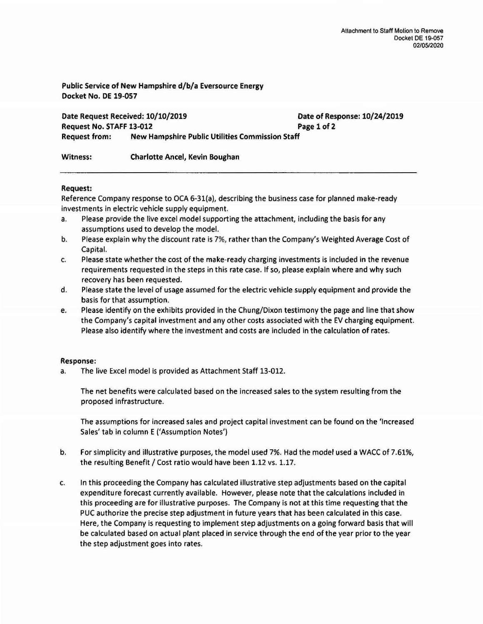Public Service of New Hampshire d/b/a Eversource Energy Docket No. DE 19-057

Date Request Received: 10/10/2019 Date of Response: 10/24/2019 Request No. STAFF 13-012 Page 1 of 2 Request from: New Hampshire Public Utilities Commission Staff

Witness: Charlotte Ancel, Kevin Boughan

## Request:

Reference Company response to OCA 6-31(a), describing the business case for planned make-ready investments in electric vehicle supply equipment.

- a. Please provide the live excel model supporting the attachment, including the basis for any assumptions used to develop the model.
- b. Please explain why the discount rate is 7%, rather than the Company's Weighted Average Cost of Capital.
- c. Please state whether the cost of the make·ready charging investments is included in the revenue requirements requested in the steps in this rate case. If so, please explain where and why such recovery has been requested.
- d. Please state the level of usage assumed for the electric vehicle supply equipment and provide the basis for that assumption.
- e. Please identify on the exhibits provided in the Chung/Dixon testimony the page and line that show the Company's capital investment and any other costs associated with the EV charging equipment. Please also identify where the investment and costs are included in the calculation of rates.

## Response:

a. The live Excel model is provided as Attachment Staff 13-012.

The net benefits were calculated based on the increased sales to the system resulting from the proposed infrastructure.

The assumptions for increased sales and project capital investment can be found on the 'Increased Sales' tab in column E ('Assumption Notes')

- b. For simplicity and illustrative purposes, the model used 7%. Had the model used a WACC of 7.61%, the resulting Benefit / Cost ratio would have been 1.12 vs. 1.17.
- c. In this proceeding the Company has calculated illustrative step adjustments based on the capital expenditure forecast currently available. However, please note that the calculations included in this proceeding are for illustrative purposes. The Company is not at this time requesting that the PUC authorize the precise step adjustment in future years that has been calculated in this case. Here, the Company is requesting to implement step adjustments on a going forward basis that will be calculated based on actual plant placed in service through the end of the year prior to the year the step adjustment goes into rates.